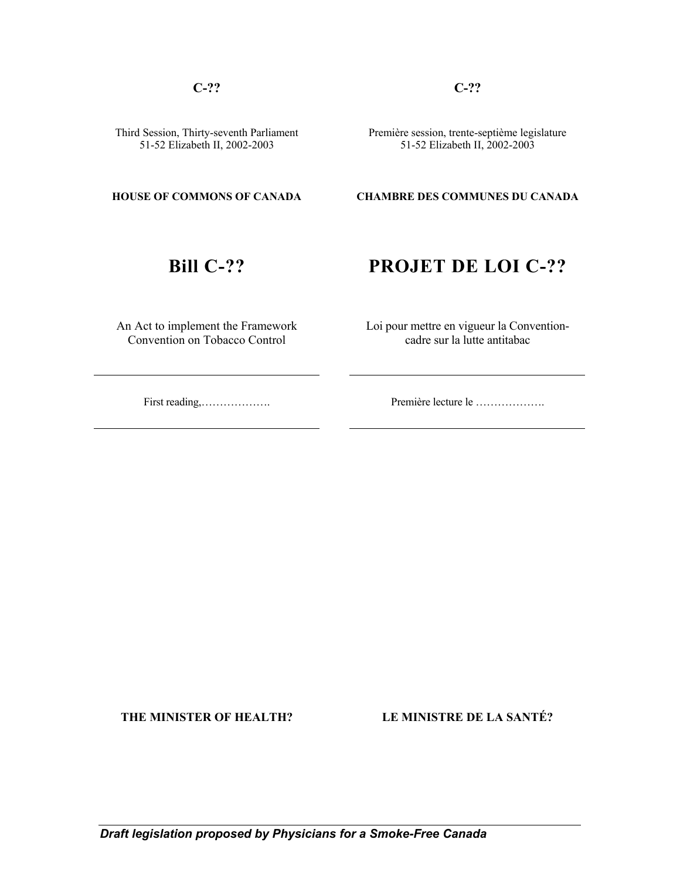**C-?? C-??** 

Third Session, Thirty-seventh Parliament 51-52 Elizabeth II, 2002-2003

 Première session, trente-septième legislature 51-52 Elizabeth II, 2002-2003

### **HOUSE OF COMMONS OF CANADA CHAMBRE DES COMMUNES DU CANADA**

# **Bill C-??** PROJET DE LOI C-??

An Act to implement the Framework Convention on Tobacco Control

 Loi pour mettre en vigueur la Conventioncadre sur la lutte antitabac

First reading,………………. Première lecture le ……………….

**THE MINISTER OF HEALTH? LE MINISTRE DE LA SANTÉ?**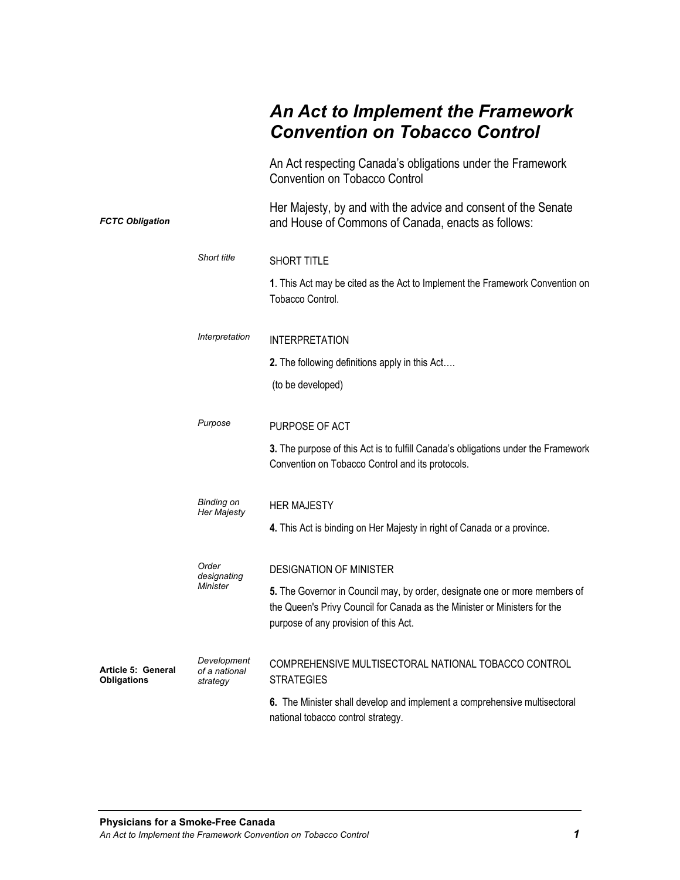# *An Act to Implement the Framework Convention on Tobacco Control*

|                                          |                                          | An Act respecting Canada's obligations under the Framework<br><b>Convention on Tobacco Control</b>                                                                                               |
|------------------------------------------|------------------------------------------|--------------------------------------------------------------------------------------------------------------------------------------------------------------------------------------------------|
| <b>FCTC Obligation</b>                   |                                          | Her Majesty, by and with the advice and consent of the Senate<br>and House of Commons of Canada, enacts as follows:                                                                              |
|                                          | Short title                              | SHORT TITLE                                                                                                                                                                                      |
|                                          |                                          | 1. This Act may be cited as the Act to Implement the Framework Convention on<br>Tobacco Control.                                                                                                 |
|                                          | Interpretation                           | <b>INTERPRETATION</b>                                                                                                                                                                            |
|                                          |                                          | 2. The following definitions apply in this Act                                                                                                                                                   |
|                                          |                                          | (to be developed)                                                                                                                                                                                |
|                                          | Purpose                                  | PURPOSE OF ACT                                                                                                                                                                                   |
|                                          |                                          | 3. The purpose of this Act is to fulfill Canada's obligations under the Framework<br>Convention on Tobacco Control and its protocols.                                                            |
| Binding on<br>Her Majesty                |                                          | <b>HER MAJESTY</b>                                                                                                                                                                               |
|                                          |                                          | 4. This Act is binding on Her Majesty in right of Canada or a province.                                                                                                                          |
| Order<br>designating                     |                                          | <b>DESIGNATION OF MINISTER</b>                                                                                                                                                                   |
|                                          | <b>Minister</b>                          | 5. The Governor in Council may, by order, designate one or more members of<br>the Queen's Privy Council for Canada as the Minister or Ministers for the<br>purpose of any provision of this Act. |
| Article 5: General<br><b>Obligations</b> | Development<br>of a national<br>strategy | COMPREHENSIVE MULTISECTORAL NATIONAL TOBACCO CONTROL<br><b>STRATEGIES</b>                                                                                                                        |
|                                          |                                          | 6. The Minister shall develop and implement a comprehensive multisectoral<br>national tobacco control strategy.                                                                                  |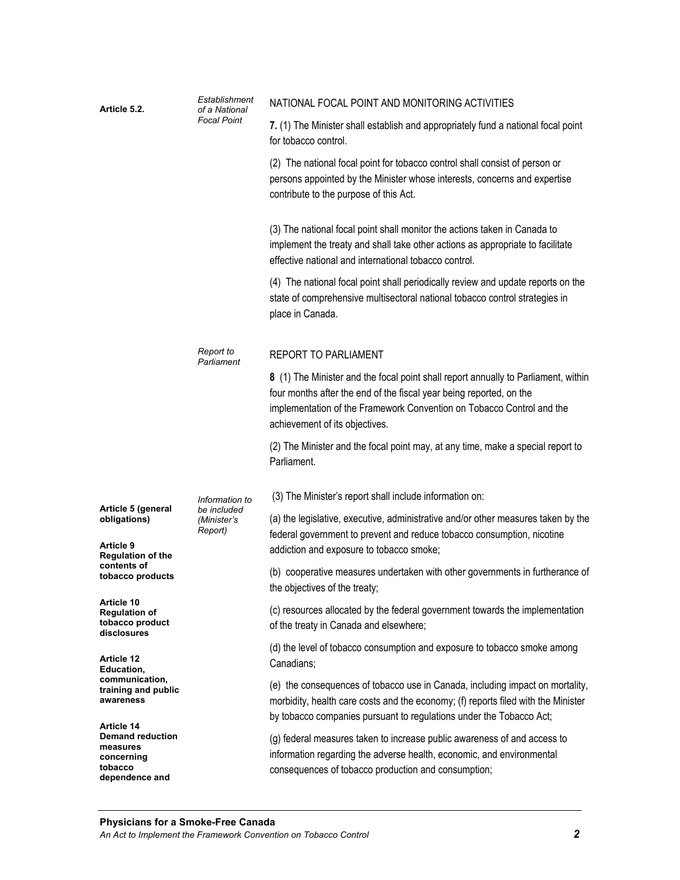| Article 5.2.                                                                                 | Establishment<br>of a National<br><b>Focal Point</b> | NATIONAL FOCAL POINT AND MONITORING ACTIVITIES                                                                                                                                                                                                                       |
|----------------------------------------------------------------------------------------------|------------------------------------------------------|----------------------------------------------------------------------------------------------------------------------------------------------------------------------------------------------------------------------------------------------------------------------|
|                                                                                              |                                                      | 7. (1) The Minister shall establish and appropriately fund a national focal point<br>for tobacco control.                                                                                                                                                            |
|                                                                                              |                                                      | (2) The national focal point for tobacco control shall consist of person or<br>persons appointed by the Minister whose interests, concerns and expertise<br>contribute to the purpose of this Act.                                                                   |
|                                                                                              |                                                      | (3) The national focal point shall monitor the actions taken in Canada to<br>implement the treaty and shall take other actions as appropriate to facilitate<br>effective national and international tobacco control.                                                 |
|                                                                                              |                                                      | (4) The national focal point shall periodically review and update reports on the<br>state of comprehensive multisectoral national tobacco control strategies in<br>place in Canada.                                                                                  |
|                                                                                              | Report to<br>Parliament                              | <b>REPORT TO PARLIAMENT</b>                                                                                                                                                                                                                                          |
|                                                                                              |                                                      | 8 (1) The Minister and the focal point shall report annually to Parliament, within<br>four months after the end of the fiscal year being reported, on the<br>implementation of the Framework Convention on Tobacco Control and the<br>achievement of its objectives. |
|                                                                                              |                                                      | (2) The Minister and the focal point may, at any time, make a special report to<br>Parliament.                                                                                                                                                                       |
|                                                                                              | Information to                                       | (3) The Minister's report shall include information on:                                                                                                                                                                                                              |
| Article 5 (general<br>obligations)<br>Article 9<br><b>Regulation of the</b>                  | be included<br>(Minister's<br>Report)                | (a) the legislative, executive, administrative and/or other measures taken by the<br>federal government to prevent and reduce tobacco consumption, nicotine<br>addiction and exposure to tobacco smoke;                                                              |
| contents of<br>tobacco products                                                              |                                                      | (b) cooperative measures undertaken with other governments in furtherance of<br>the objectives of the treaty;                                                                                                                                                        |
| Article 10<br><b>Regulation of</b><br>tobacco product<br>disclosures                         |                                                      | (c) resources allocated by the federal government towards the implementation<br>of the treaty in Canada and elsewhere;                                                                                                                                               |
| Article 12<br>Education,                                                                     |                                                      | (d) the level of tobacco consumption and exposure to tobacco smoke among<br>Canadians;                                                                                                                                                                               |
| communication,<br>training and public<br>awareness                                           |                                                      | (e) the consequences of tobacco use in Canada, including impact on mortality,<br>morbidity, health care costs and the economy; (f) reports filed with the Minister<br>by tobacco companies pursuant to regulations under the Tobacco Act;                            |
| Article 14<br><b>Demand reduction</b><br>measures<br>concerning<br>tobacco<br>dependence and |                                                      | (g) federal measures taken to increase public awareness of and access to<br>information regarding the adverse health, economic, and environmental<br>consequences of tobacco production and consumption;                                                             |
|                                                                                              |                                                      |                                                                                                                                                                                                                                                                      |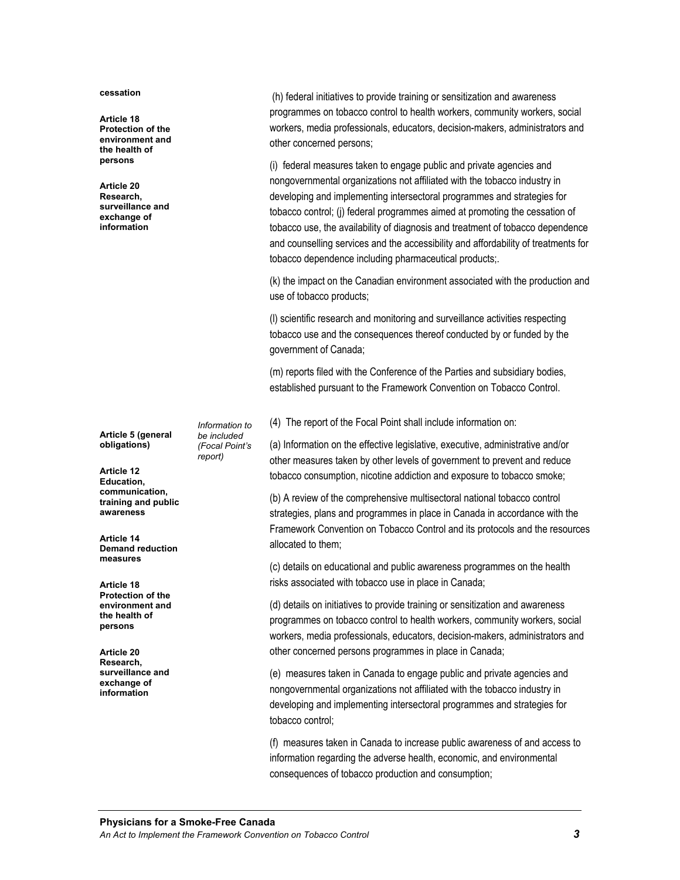#### **cessation**

**Article 18 Protection of the environment and the health of persons** 

**Article 20 Research, surveillance and exchange of information** 

**Article 5 (general obligations)** 

**Article 12 Education, communication, training and public awareness** 

**Article 14 Demand reduction measures** 

**Article 18 Protection of the environment and the health of persons** 

**Article 20 Research, surveillance and exchange of information** 

 (h) federal initiatives to provide training or sensitization and awareness programmes on tobacco control to health workers, community workers, social workers, media professionals, educators, decision-makers, administrators and other concerned persons;

(i) federal measures taken to engage public and private agencies and nongovernmental organizations not affiliated with the tobacco industry in developing and implementing intersectoral programmes and strategies for tobacco control; (j) federal programmes aimed at promoting the cessation of tobacco use, the availability of diagnosis and treatment of tobacco dependence and counselling services and the accessibility and affordability of treatments for tobacco dependence including pharmaceutical products;.

(k) the impact on the Canadian environment associated with the production and use of tobacco products;

(l) scientific research and monitoring and surveillance activities respecting tobacco use and the consequences thereof conducted by or funded by the government of Canada;

(m) reports filed with the Conference of the Parties and subsidiary bodies, established pursuant to the Framework Convention on Tobacco Control.

(4) The report of the Focal Point shall include information on:

(a) Information on the effective legislative, executive, administrative and/or other measures taken by other levels of government to prevent and reduce tobacco consumption, nicotine addiction and exposure to tobacco smoke;

(b) A review of the comprehensive multisectoral national tobacco control strategies, plans and programmes in place in Canada in accordance with the Framework Convention on Tobacco Control and its protocols and the resources allocated to them;

(c) details on educational and public awareness programmes on the health risks associated with tobacco use in place in Canada;

(d) details on initiatives to provide training or sensitization and awareness programmes on tobacco control to health workers, community workers, social workers, media professionals, educators, decision-makers, administrators and other concerned persons programmes in place in Canada;

(e) measures taken in Canada to engage public and private agencies and nongovernmental organizations not affiliated with the tobacco industry in developing and implementing intersectoral programmes and strategies for tobacco control;

(f) measures taken in Canada to increase public awareness of and access to information regarding the adverse health, economic, and environmental consequences of tobacco production and consumption;

*Information to be included (Focal Point's report)*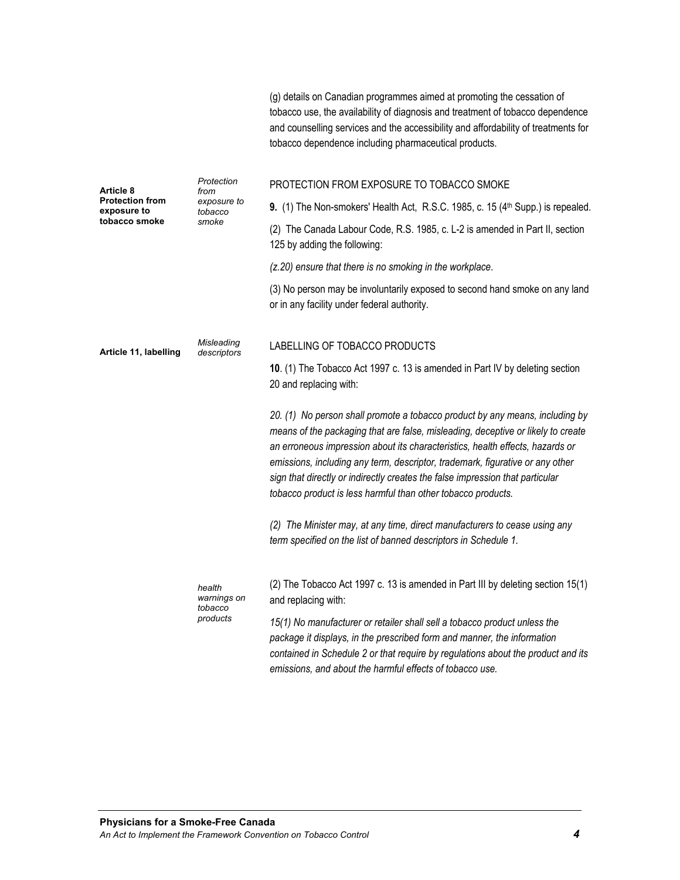|                                       |                                  | tobacco use, the availability of diagnosis and treatment of tobacco dependence<br>and counselling services and the accessibility and affordability of treatments for<br>tobacco dependence including pharmaceutical products.                                                                                                                                                                                                                                                       |
|---------------------------------------|----------------------------------|-------------------------------------------------------------------------------------------------------------------------------------------------------------------------------------------------------------------------------------------------------------------------------------------------------------------------------------------------------------------------------------------------------------------------------------------------------------------------------------|
| Article 8                             | Protection<br>from               | PROTECTION FROM EXPOSURE TO TOBACCO SMOKE                                                                                                                                                                                                                                                                                                                                                                                                                                           |
| <b>Protection from</b><br>exposure to | exposure to<br>tobacco           | 9. (1) The Non-smokers' Health Act, R.S.C. 1985, c. 15 (4 <sup>th</sup> Supp.) is repealed.                                                                                                                                                                                                                                                                                                                                                                                         |
| tobacco smoke                         | smoke                            | (2) The Canada Labour Code, R.S. 1985, c. L-2 is amended in Part II, section<br>125 by adding the following:                                                                                                                                                                                                                                                                                                                                                                        |
|                                       |                                  | (z.20) ensure that there is no smoking in the workplace.                                                                                                                                                                                                                                                                                                                                                                                                                            |
|                                       |                                  | (3) No person may be involuntarily exposed to second hand smoke on any land<br>or in any facility under federal authority.                                                                                                                                                                                                                                                                                                                                                          |
| Article 11, labelling                 | Misleading<br>descriptors        | LABELLING OF TOBACCO PRODUCTS                                                                                                                                                                                                                                                                                                                                                                                                                                                       |
|                                       |                                  | 10. (1) The Tobacco Act 1997 c. 13 is amended in Part IV by deleting section<br>20 and replacing with:                                                                                                                                                                                                                                                                                                                                                                              |
|                                       |                                  | 20. (1) No person shall promote a tobacco product by any means, including by<br>means of the packaging that are false, misleading, deceptive or likely to create<br>an erroneous impression about its characteristics, health effects, hazards or<br>emissions, including any term, descriptor, trademark, figurative or any other<br>sign that directly or indirectly creates the false impression that particular<br>tobacco product is less harmful than other tobacco products. |
|                                       |                                  | (2) The Minister may, at any time, direct manufacturers to cease using any<br>term specified on the list of banned descriptors in Schedule 1.                                                                                                                                                                                                                                                                                                                                       |
|                                       | health<br>warnings on<br>tobacco | (2) The Tobacco Act 1997 c. 13 is amended in Part III by deleting section 15(1)<br>and replacing with:                                                                                                                                                                                                                                                                                                                                                                              |
|                                       | products                         | 15(1) No manufacturer or retailer shall sell a tobacco product unless the<br>package it displays, in the prescribed form and manner, the information<br>contained in Schedule 2 or that require by regulations about the product and its                                                                                                                                                                                                                                            |

*emissions, and about the harmful effects of tobacco use.*

(g) details on Canadian programmes aimed at promoting the cessation of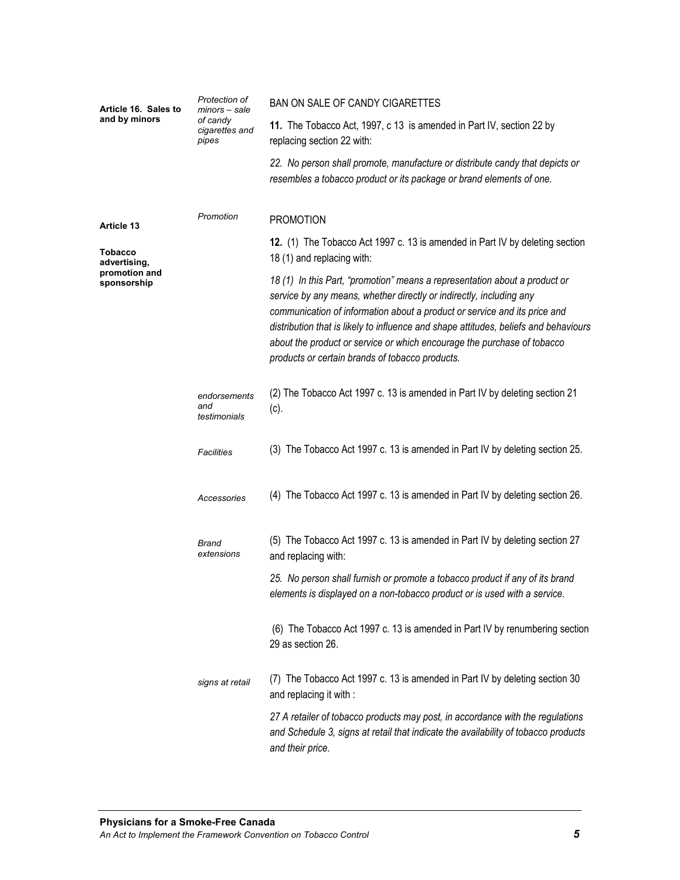| Article 16. Sales to<br>and by minors | Protection of<br>minors – sale<br>of candy<br>cigarettes and<br>pipes | BAN ON SALE OF CANDY CIGARETTES                                                                                                                                                                                                                                                                                                                                                                                                                      |
|---------------------------------------|-----------------------------------------------------------------------|------------------------------------------------------------------------------------------------------------------------------------------------------------------------------------------------------------------------------------------------------------------------------------------------------------------------------------------------------------------------------------------------------------------------------------------------------|
|                                       |                                                                       | 11. The Tobacco Act, 1997, c 13 is amended in Part IV, section 22 by<br>replacing section 22 with:                                                                                                                                                                                                                                                                                                                                                   |
|                                       |                                                                       | 22. No person shall promote, manufacture or distribute candy that depicts or<br>resembles a tobacco product or its package or brand elements of one.                                                                                                                                                                                                                                                                                                 |
| Article 13                            | Promotion                                                             | <b>PROMOTION</b>                                                                                                                                                                                                                                                                                                                                                                                                                                     |
| Tobacco<br>advertising,               |                                                                       | 12. (1) The Tobacco Act 1997 c. 13 is amended in Part IV by deleting section<br>18 (1) and replacing with:                                                                                                                                                                                                                                                                                                                                           |
| promotion and<br>sponsorship          |                                                                       | 18 (1) In this Part, "promotion" means a representation about a product or<br>service by any means, whether directly or indirectly, including any<br>communication of information about a product or service and its price and<br>distribution that is likely to influence and shape attitudes, beliefs and behaviours<br>about the product or service or which encourage the purchase of tobacco<br>products or certain brands of tobacco products. |
|                                       | endorsements<br>and<br>testimonials                                   | (2) The Tobacco Act 1997 c. 13 is amended in Part IV by deleting section 21<br>(c).                                                                                                                                                                                                                                                                                                                                                                  |
|                                       | Facilities                                                            | (3) The Tobacco Act 1997 c. 13 is amended in Part IV by deleting section 25.                                                                                                                                                                                                                                                                                                                                                                         |
|                                       | Accessories                                                           | (4) The Tobacco Act 1997 c. 13 is amended in Part IV by deleting section 26.                                                                                                                                                                                                                                                                                                                                                                         |
|                                       | Brand<br>extensions                                                   | (5) The Tobacco Act 1997 c. 13 is amended in Part IV by deleting section 27<br>and replacing with:                                                                                                                                                                                                                                                                                                                                                   |
|                                       |                                                                       | 25. No person shall furnish or promote a tobacco product if any of its brand<br>elements is displayed on a non-tobacco product or is used with a service.                                                                                                                                                                                                                                                                                            |
|                                       |                                                                       | (6) The Tobacco Act 1997 c. 13 is amended in Part IV by renumbering section<br>29 as section 26.                                                                                                                                                                                                                                                                                                                                                     |
|                                       | signs at retail                                                       | The Tobacco Act 1997 c. 13 is amended in Part IV by deleting section 30<br>(1)<br>and replacing it with :                                                                                                                                                                                                                                                                                                                                            |
|                                       |                                                                       | 27 A retailer of tobacco products may post, in accordance with the regulations<br>and Schedule 3, signs at retail that indicate the availability of tobacco products<br>and their price.                                                                                                                                                                                                                                                             |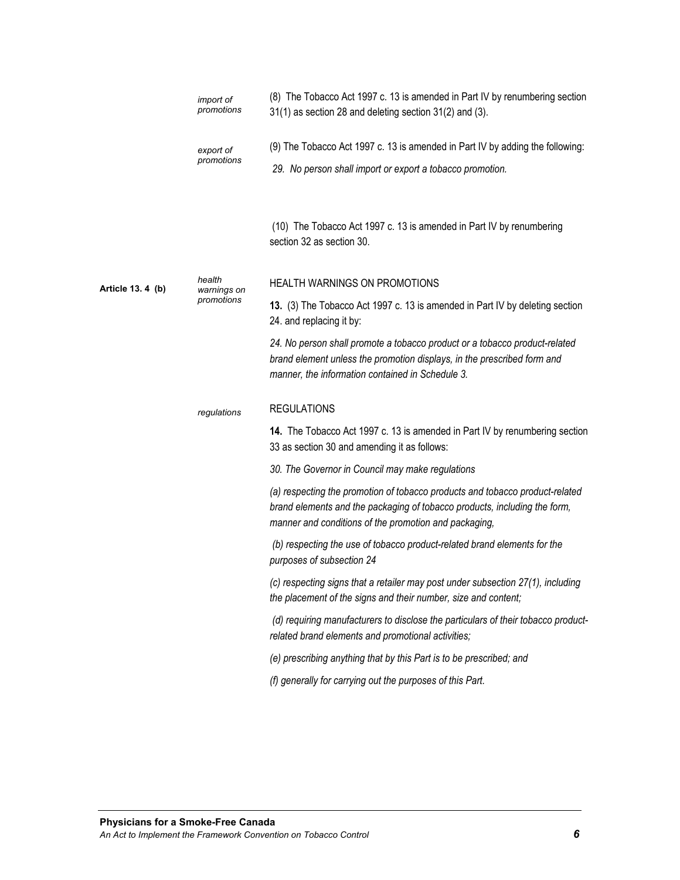|                   | import of<br>promotions | (8) The Tobacco Act 1997 c. 13 is amended in Part IV by renumbering section<br>31(1) as section 28 and deleting section 31(2) and (3).                                                                             |
|-------------------|-------------------------|--------------------------------------------------------------------------------------------------------------------------------------------------------------------------------------------------------------------|
|                   | export of               | (9) The Tobacco Act 1997 c. 13 is amended in Part IV by adding the following:                                                                                                                                      |
|                   | promotions              | 29. No person shall import or export a tobacco promotion.                                                                                                                                                          |
|                   |                         | (10) The Tobacco Act 1997 c. 13 is amended in Part IV by renumbering<br>section 32 as section 30.                                                                                                                  |
| Article 13. 4 (b) | health<br>warnings on   | HEALTH WARNINGS ON PROMOTIONS                                                                                                                                                                                      |
|                   | promotions              | 13. (3) The Tobacco Act 1997 c. 13 is amended in Part IV by deleting section<br>24. and replacing it by:                                                                                                           |
|                   |                         | 24. No person shall promote a tobacco product or a tobacco product-related<br>brand element unless the promotion displays, in the prescribed form and<br>manner, the information contained in Schedule 3.          |
|                   | regulations             | <b>REGULATIONS</b>                                                                                                                                                                                                 |
|                   |                         | 14. The Tobacco Act 1997 c. 13 is amended in Part IV by renumbering section<br>33 as section 30 and amending it as follows:                                                                                        |
|                   |                         | 30. The Governor in Council may make regulations                                                                                                                                                                   |
|                   |                         | (a) respecting the promotion of tobacco products and tobacco product-related<br>brand elements and the packaging of tobacco products, including the form,<br>manner and conditions of the promotion and packaging, |
|                   |                         | (b) respecting the use of tobacco product-related brand elements for the<br>purposes of subsection 24                                                                                                              |
|                   |                         | (c) respecting signs that a retailer may post under subsection 27(1), including<br>the placement of the signs and their number, size and content;                                                                  |
|                   |                         | (d) requiring manufacturers to disclose the particulars of their tobacco product-<br>related brand elements and promotional activities;                                                                            |
|                   |                         | (e) prescribing anything that by this Part is to be prescribed; and                                                                                                                                                |
|                   |                         | (f) generally for carrying out the purposes of this Part.                                                                                                                                                          |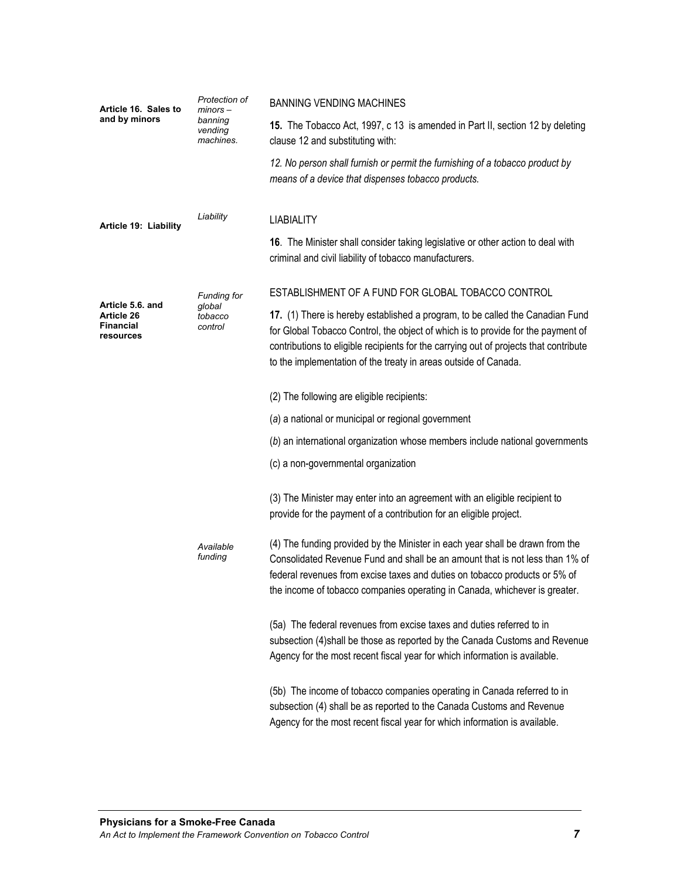| Article 16. Sales to                                            | Protection of<br>$minors -$<br>banning<br>vending<br>machines. | <b>BANNING VENDING MACHINES</b>                                                                                                                                                                                                                                                                                               |
|-----------------------------------------------------------------|----------------------------------------------------------------|-------------------------------------------------------------------------------------------------------------------------------------------------------------------------------------------------------------------------------------------------------------------------------------------------------------------------------|
| and by minors                                                   |                                                                | 15. The Tobacco Act, 1997, c 13 is amended in Part II, section 12 by deleting<br>clause 12 and substituting with:                                                                                                                                                                                                             |
|                                                                 |                                                                | 12. No person shall furnish or permit the furnishing of a tobacco product by<br>means of a device that dispenses tobacco products.                                                                                                                                                                                            |
| Article 19: Liability                                           | Liability                                                      | <b>LIABIALITY</b>                                                                                                                                                                                                                                                                                                             |
|                                                                 |                                                                | 16. The Minister shall consider taking legislative or other action to deal with<br>criminal and civil liability of tobacco manufacturers.                                                                                                                                                                                     |
|                                                                 | <b>Funding for</b>                                             | ESTABLISHMENT OF A FUND FOR GLOBAL TOBACCO CONTROL                                                                                                                                                                                                                                                                            |
| Article 5.6. and<br>Article 26<br><b>Financial</b><br>resources | global<br>tobacco<br>control                                   | 17. (1) There is hereby established a program, to be called the Canadian Fund<br>for Global Tobacco Control, the object of which is to provide for the payment of<br>contributions to eligible recipients for the carrying out of projects that contribute<br>to the implementation of the treaty in areas outside of Canada. |
|                                                                 |                                                                | (2) The following are eligible recipients:                                                                                                                                                                                                                                                                                    |
|                                                                 |                                                                | (a) a national or municipal or regional government                                                                                                                                                                                                                                                                            |
|                                                                 |                                                                | (b) an international organization whose members include national governments                                                                                                                                                                                                                                                  |
|                                                                 |                                                                | (c) a non-governmental organization                                                                                                                                                                                                                                                                                           |
|                                                                 |                                                                | (3) The Minister may enter into an agreement with an eligible recipient to<br>provide for the payment of a contribution for an eligible project.                                                                                                                                                                              |
|                                                                 | Available<br>funding                                           | (4) The funding provided by the Minister in each year shall be drawn from the<br>Consolidated Revenue Fund and shall be an amount that is not less than 1% of<br>federal revenues from excise taxes and duties on tobacco products or 5% of<br>the income of tobacco companies operating in Canada, whichever is greater.     |
|                                                                 |                                                                | (5a) The federal revenues from excise taxes and duties referred to in<br>subsection (4) shall be those as reported by the Canada Customs and Revenue<br>Agency for the most recent fiscal year for which information is available.                                                                                            |
|                                                                 |                                                                | (5b) The income of tobacco companies operating in Canada referred to in<br>subsection (4) shall be as reported to the Canada Customs and Revenue<br>Agency for the most recent fiscal year for which information is available.                                                                                                |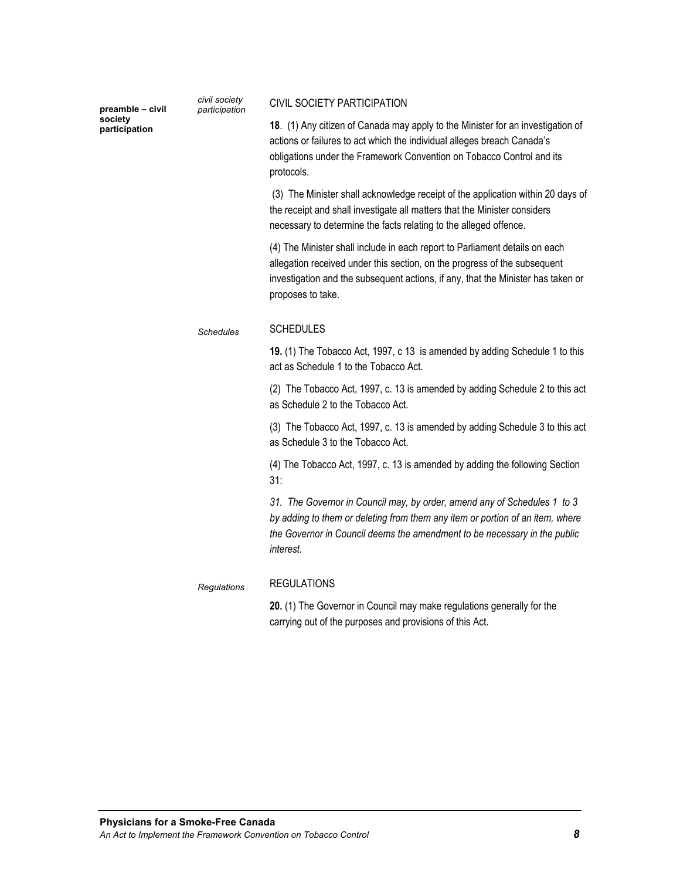| preamble - civil         | civil society<br>participation | CIVIL SOCIETY PARTICIPATION                                                                                                                                                                                                                                       |
|--------------------------|--------------------------------|-------------------------------------------------------------------------------------------------------------------------------------------------------------------------------------------------------------------------------------------------------------------|
| society<br>participation |                                | 18. (1) Any citizen of Canada may apply to the Minister for an investigation of<br>actions or failures to act which the individual alleges breach Canada's<br>obligations under the Framework Convention on Tobacco Control and its<br>protocols.                 |
|                          |                                | (3) The Minister shall acknowledge receipt of the application within 20 days of<br>the receipt and shall investigate all matters that the Minister considers<br>necessary to determine the facts relating to the alleged offence.                                 |
|                          |                                | (4) The Minister shall include in each report to Parliament details on each<br>allegation received under this section, on the progress of the subsequent<br>investigation and the subsequent actions, if any, that the Minister has taken or<br>proposes to take. |
|                          | <b>Schedules</b>               | <b>SCHEDULES</b>                                                                                                                                                                                                                                                  |
|                          |                                | 19. (1) The Tobacco Act, 1997, c 13 is amended by adding Schedule 1 to this<br>act as Schedule 1 to the Tobacco Act.                                                                                                                                              |
|                          |                                | (2) The Tobacco Act, 1997, c. 13 is amended by adding Schedule 2 to this act<br>as Schedule 2 to the Tobacco Act.                                                                                                                                                 |
|                          |                                | (3) The Tobacco Act, 1997, c. 13 is amended by adding Schedule 3 to this act<br>as Schedule 3 to the Tobacco Act.                                                                                                                                                 |
|                          |                                | (4) The Tobacco Act, 1997, c. 13 is amended by adding the following Section<br>31:                                                                                                                                                                                |
|                          |                                | 31. The Governor in Council may, by order, amend any of Schedules 1 to 3<br>by adding to them or deleting from them any item or portion of an item, where<br>the Governor in Council deems the amendment to be necessary in the public<br>interest.               |
|                          | Regulations                    | <b>REGULATIONS</b>                                                                                                                                                                                                                                                |
|                          |                                | 20. (1) The Governor in Council may make regulations generally for the                                                                                                                                                                                            |

carrying out of the purposes and provisions of this Act.

*civil society*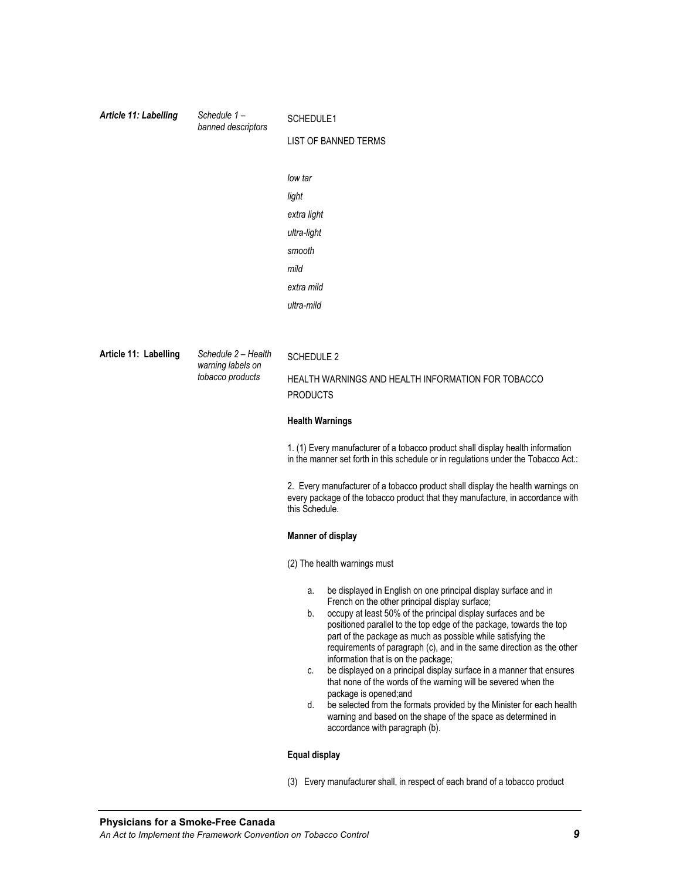| Article 11: Labelling | Schedule 1-<br>banned descriptors     | SCHEDULE1                                                                                                                                                                           |  |
|-----------------------|---------------------------------------|-------------------------------------------------------------------------------------------------------------------------------------------------------------------------------------|--|
|                       |                                       | <b>LIST OF BANNED TERMS</b>                                                                                                                                                         |  |
|                       |                                       |                                                                                                                                                                                     |  |
|                       |                                       | low tar                                                                                                                                                                             |  |
|                       |                                       | light                                                                                                                                                                               |  |
|                       |                                       | extra light                                                                                                                                                                         |  |
|                       |                                       | ultra-light                                                                                                                                                                         |  |
|                       |                                       | smooth                                                                                                                                                                              |  |
|                       |                                       | mild                                                                                                                                                                                |  |
|                       |                                       | extra mild                                                                                                                                                                          |  |
|                       |                                       | ultra-mild                                                                                                                                                                          |  |
|                       |                                       |                                                                                                                                                                                     |  |
| Article 11: Labelling | Schedule 2 - Health                   | <b>SCHEDULE 2</b>                                                                                                                                                                   |  |
|                       | warning labels on<br>tobacco products | HEALTH WARNINGS AND HEALTH INFORMATION FOR TOBACCO                                                                                                                                  |  |
|                       |                                       | <b>PRODUCTS</b>                                                                                                                                                                     |  |
|                       |                                       | <b>Health Warnings</b>                                                                                                                                                              |  |
|                       |                                       | 1. (1) Every manufacturer of a tobacco product shall display health information<br>in the manner set forth in this schedule or in regulations under the Tobacco Act.:               |  |
|                       |                                       | 2. Every manufacturer of a tobacco product shall display the health warnings on<br>every package of the tobacco product that they manufacture, in accordance with<br>this Schedule. |  |
|                       |                                       | <b>Manner of display</b>                                                                                                                                                            |  |
|                       |                                       | (2) The health warnings must                                                                                                                                                        |  |
|                       |                                       | be displayed in English on one principal display surface and in<br>a.                                                                                                               |  |
|                       |                                       | French on the other principal display surface;<br>occupy at least 50% of the principal display surfaces and be<br>b.                                                                |  |
|                       |                                       | positioned parallel to the top edge of the package, towards the top<br>part of the package as much as possible while satisfying the                                                 |  |
|                       |                                       | requirements of paragraph (c), and in the same direction as the other                                                                                                               |  |
|                       |                                       | information that is on the package;<br>be displayed on a principal display surface in a manner that ensures<br>C.                                                                   |  |
|                       |                                       | that none of the words of the warning will be severed when the<br>package is opened;and                                                                                             |  |
|                       |                                       | be selected from the formats provided by the Minister for each health<br>d.                                                                                                         |  |
|                       |                                       | warning and based on the shape of the space as determined in<br>accordance with paragraph (b).                                                                                      |  |
|                       |                                       | <b>Equal display</b>                                                                                                                                                                |  |
|                       |                                       | (3) Every manufacturer shall, in respect of each brand of a tobacco product                                                                                                         |  |
|                       |                                       |                                                                                                                                                                                     |  |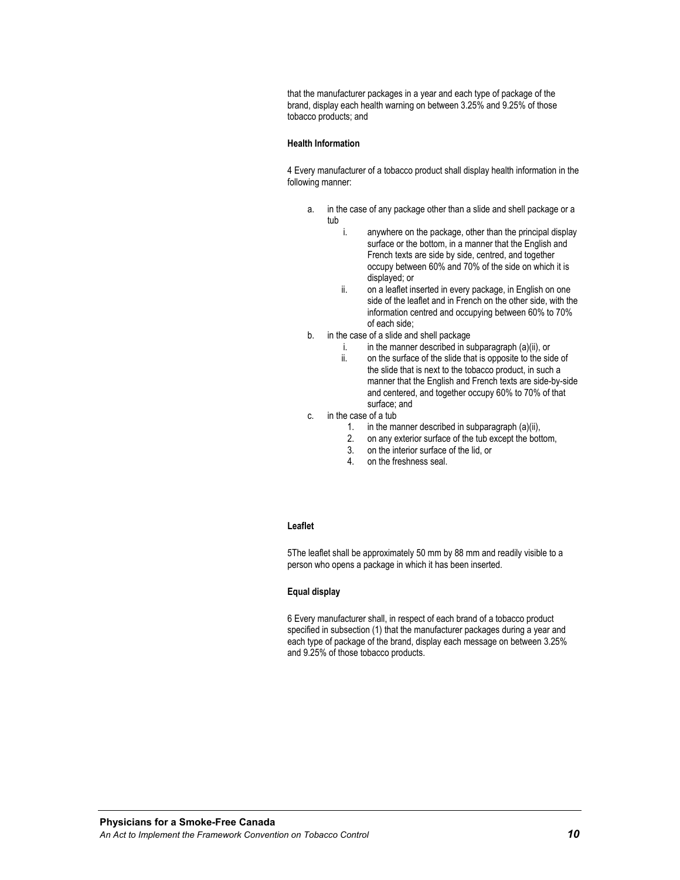that the manufacturer packages in a year and each type of package of the brand, display each health warning on between 3.25% and 9.25% of those tobacco products; and

#### **Health Information**

4 Every manufacturer of a tobacco product shall display health information in the following manner:

- a. in the case of any package other than a slide and shell package or a tub
	- i. anywhere on the package, other than the principal display surface or the bottom, in a manner that the English and French texts are side by side, centred, and together occupy between 60% and 70% of the side on which it is displayed; or
	- ii. on a leaflet inserted in every package, in English on one side of the leaflet and in French on the other side, with the information centred and occupying between 60% to 70% of each side;
- b. in the case of a slide and shell package
	- i. in the manner described in subparagraph  $(a)(ii)$ , or
	- ii. on the surface of the slide that is opposite to the side of the slide that is next to the tobacco product, in such a manner that the English and French texts are side-by-side and centered, and together occupy 60% to 70% of that surface; and
- c. in the case of a tub
	- 1. in the manner described in subparagraph (a)(ii),
	- 2. on any exterior surface of the tub except the bottom,
	- 3. on the interior surface of the lid, or
	- 4. on the freshness seal.

### **Leaflet**

5The leaflet shall be approximately 50 mm by 88 mm and readily visible to a person who opens a package in which it has been inserted.

#### **Equal display**

6 Every manufacturer shall, in respect of each brand of a tobacco product specified in subsection (1) that the manufacturer packages during a year and each type of package of the brand, display each message on between 3.25% and 9.25% of those tobacco products.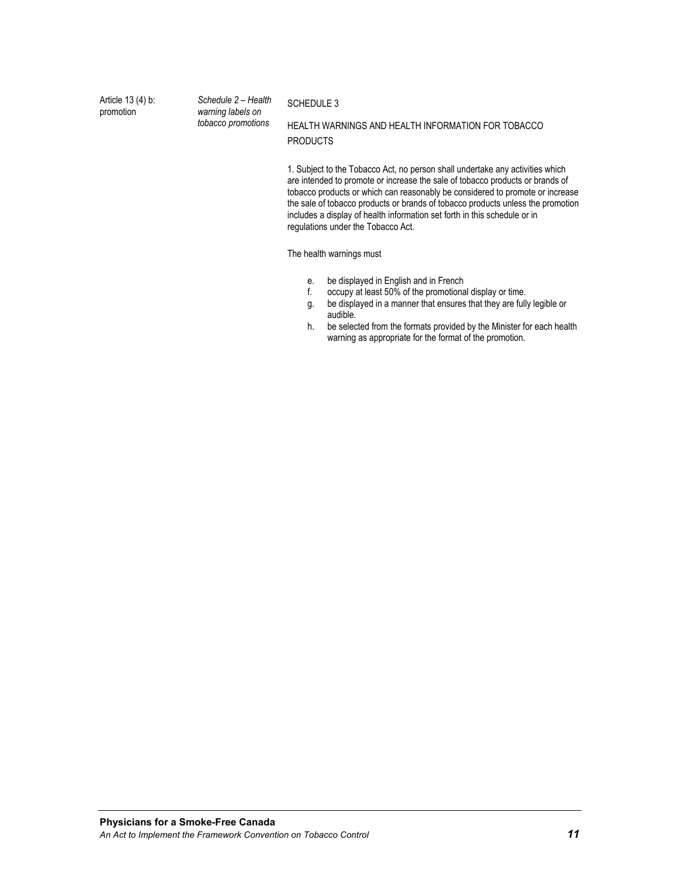Article 13 (4) b: promotion

*Schedule 2 – Health warning labels on tobacco promotions*

#### SCHEDULE 3

HEALTH WARNINGS AND HEALTH INFORMATION FOR TOBACCO **PRODUCTS** 

1. Subject to the Tobacco Act, no person shall undertake any activities which are intended to promote or increase the sale of tobacco products or brands of tobacco products or which can reasonably be considered to promote or increase the sale of tobacco products or brands of tobacco products unless the promotion includes a display of health information set forth in this schedule or in regulations under the Tobacco Act.

The health warnings must

- e. be displayed in English and in French
- f. occupy at least 50% of the promotional display or time.
- g. be displayed in a manner that ensures that they are fully legible or audible.
- h. be selected from the formats provided by the Minister for each health warning as appropriate for the format of the promotion.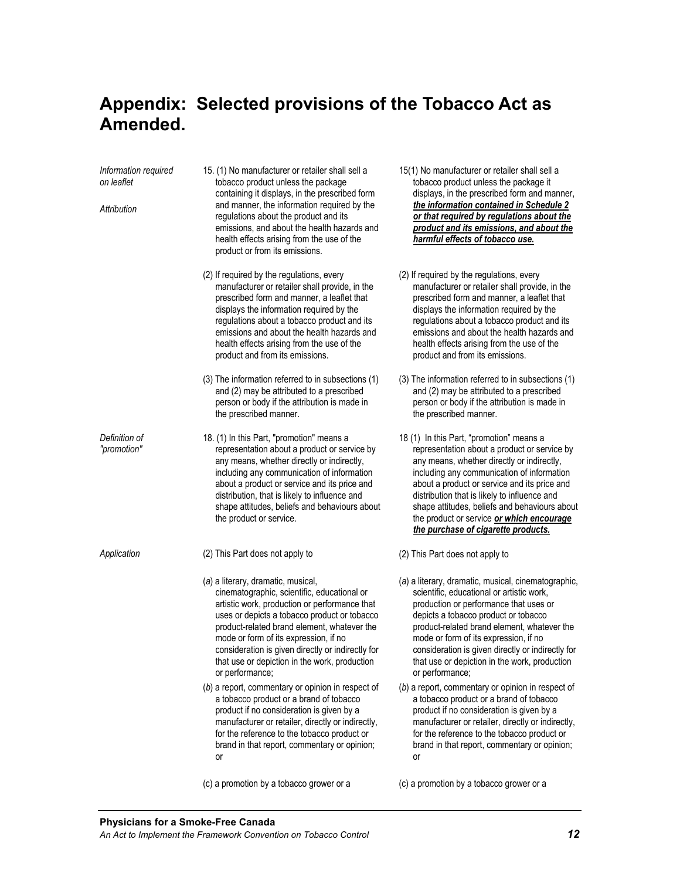### **Appendix: Selected provisions of the Tobacco Act as Amended.**

*Information required on leaflet Attribution*  15. (1) No manufacturer or retailer shall sell a tobacco product unless the package containing it displays, in the prescribed form and manner, the information required by the regulations about the product and its emissions, and about the health hazards and health effects arising from the use of the product or from its emissions. (2) If required by the regulations, every manufacturer or retailer shall provide, in the prescribed form and manner, a leaflet that displays the information required by the regulations about a tobacco product and its emissions and about the health hazards and health effects arising from the use of the product and from its emissions. (3) The information referred to in subsections (1) and (2) may be attributed to a prescribed person or body if the attribution is made in the prescribed manner. *Definition of "promotion"*  18. (1) In this Part, "promotion" means a representation about a product or service by any means, whether directly or indirectly, including any communication of information about a product or service and its price and distribution, that is likely to influence and shape attitudes, beliefs and behaviours about the product or service. *Application* (2) This Part does not apply to (*a*) a literary, dramatic, musical, cinematographic, scientific, educational or artistic work, production or performance that uses or depicts a tobacco product or tobacco product-related brand element, whatever the mode or form of its expression, if no consideration is given directly or indirectly for that use or depiction in the work, production or performance; (*b*) a report, commentary or opinion in respect of a tobacco product or a brand of tobacco product if no consideration is given by a manufacturer or retailer, directly or indirectly, for the reference to the tobacco product or brand in that report, commentary or opinion; or

(c) a promotion by a tobacco grower or a

- 15(1) No manufacturer or retailer shall sell a tobacco product unless the package it displays, in the prescribed form and manner, *the information contained in Schedule 2 or that required by regulations about the product and its emissions, and about the harmful effects of tobacco use.*
- (2) If required by the regulations, every manufacturer or retailer shall provide, in the prescribed form and manner, a leaflet that displays the information required by the regulations about a tobacco product and its emissions and about the health hazards and health effects arising from the use of the product and from its emissions.
- (3) The information referred to in subsections (1) and (2) may be attributed to a prescribed person or body if the attribution is made in the prescribed manner.
- 18 (1) In this Part, "promotion" means a representation about a product or service by any means, whether directly or indirectly, including any communication of information about a product or service and its price and distribution that is likely to influence and shape attitudes, beliefs and behaviours about the product or service *or which encourage the purchase of cigarette products.*
- (2) This Part does not apply to
- (*a*) a literary, dramatic, musical, cinematographic, scientific, educational or artistic work, production or performance that uses or depicts a tobacco product or tobacco product-related brand element, whatever the mode or form of its expression, if no consideration is given directly or indirectly for that use or depiction in the work, production or performance;
- (*b*) a report, commentary or opinion in respect of a tobacco product or a brand of tobacco product if no consideration is given by a manufacturer or retailer, directly or indirectly, for the reference to the tobacco product or brand in that report, commentary or opinion; or

<sup>(</sup>c) a promotion by a tobacco grower or a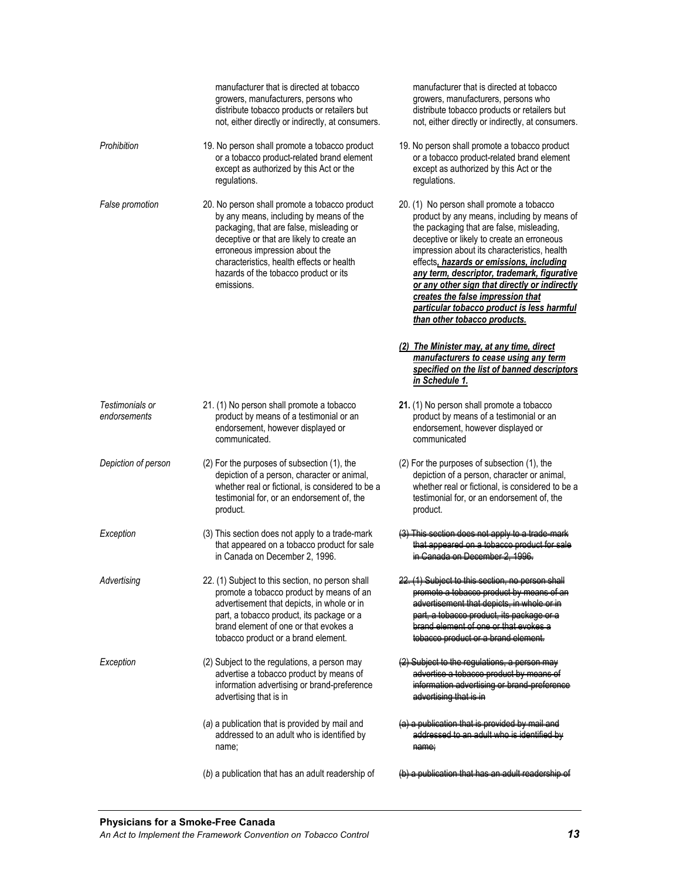|                                 | manufacturer that is directed at tobacco<br>growers, manufacturers, persons who<br>distribute tobacco products or retailers but<br>not, either directly or indirectly, at consumers.                                                                                                                                    | manufacturer that is directed at tobacco<br>growers, manufacturers, persons who<br>distribute tobacco products or retailers but<br>not, either directly or indirectly, at consumers.                                                                                                                                                                                                                                                                                                               |
|---------------------------------|-------------------------------------------------------------------------------------------------------------------------------------------------------------------------------------------------------------------------------------------------------------------------------------------------------------------------|----------------------------------------------------------------------------------------------------------------------------------------------------------------------------------------------------------------------------------------------------------------------------------------------------------------------------------------------------------------------------------------------------------------------------------------------------------------------------------------------------|
| Prohibition                     | 19. No person shall promote a tobacco product<br>or a tobacco product-related brand element<br>except as authorized by this Act or the<br>regulations.                                                                                                                                                                  | 19. No person shall promote a tobacco product<br>or a tobacco product-related brand element<br>except as authorized by this Act or the<br>regulations.                                                                                                                                                                                                                                                                                                                                             |
| False promotion                 | 20. No person shall promote a tobacco product<br>by any means, including by means of the<br>packaging, that are false, misleading or<br>deceptive or that are likely to create an<br>erroneous impression about the<br>characteristics, health effects or health<br>hazards of the tobacco product or its<br>emissions. | 20. (1) No person shall promote a tobacco<br>product by any means, including by means of<br>the packaging that are false, misleading,<br>deceptive or likely to create an erroneous<br>impression about its characteristics, health<br>effects, hazards or emissions, including<br>any term, descriptor, trademark, figurative<br>or any other sign that directly or indirectly<br>creates the false impression that<br>particular tobacco product is less harmful<br>than other tobacco products. |
|                                 |                                                                                                                                                                                                                                                                                                                         | (2) The Minister may, at any time, direct<br>manufacturers to cease using any term<br>specified on the list of banned descriptors<br>in Schedule 1.                                                                                                                                                                                                                                                                                                                                                |
| Testimonials or<br>endorsements | 21. (1) No person shall promote a tobacco<br>product by means of a testimonial or an<br>endorsement, however displayed or<br>communicated.                                                                                                                                                                              | 21. (1) No person shall promote a tobacco<br>product by means of a testimonial or an<br>endorsement, however displayed or<br>communicated                                                                                                                                                                                                                                                                                                                                                          |
| Depiction of person             | (2) For the purposes of subsection (1), the<br>depiction of a person, character or animal,<br>whether real or fictional, is considered to be a<br>testimonial for, or an endorsement of, the<br>product.                                                                                                                | (2) For the purposes of subsection (1), the<br>depiction of a person, character or animal,<br>whether real or fictional, is considered to be a<br>testimonial for, or an endorsement of, the<br>product.                                                                                                                                                                                                                                                                                           |
| Exception                       | (3) This section does not apply to a trade-mark<br>that appeared on a tobacco product for sale<br>in Canada on December 2, 1996.                                                                                                                                                                                        | <u>an a tabacco product</u>                                                                                                                                                                                                                                                                                                                                                                                                                                                                        |
| Advertising                     | 22. (1) Subject to this section, no person shall<br>promote a tobacco product by means of an<br>advertisement that depicts, in whole or in<br>part, a tobacco product, its package or a<br>brand element of one or that evokes a<br>tobacco product or a brand element.                                                 | promote a tobacco product by means<br>edverticement that depicts, in whole or in<br>part, a tobacco product, its package or a<br>brand element of one or that evokes a<br>tebacco product or a brand element.                                                                                                                                                                                                                                                                                      |
| Exception                       | (2) Subject to the regulations, a person may<br>advertise a tobacco product by means of<br>information advertising or brand-preference<br>advertising that is in                                                                                                                                                        | edvertice a tebacco product by means of<br>information advertising or brand preferer<br>advortising that is in                                                                                                                                                                                                                                                                                                                                                                                     |
|                                 | (a) a publication that is provided by mail and<br>addressed to an adult who is identified by<br>name;                                                                                                                                                                                                                   | (a) a publication that is provided by mai<br>addressed to an adult who is identified<br>namo;                                                                                                                                                                                                                                                                                                                                                                                                      |
|                                 | (b) a publication that has an adult readership of                                                                                                                                                                                                                                                                       | (b) a publication that has an adult readership of                                                                                                                                                                                                                                                                                                                                                                                                                                                  |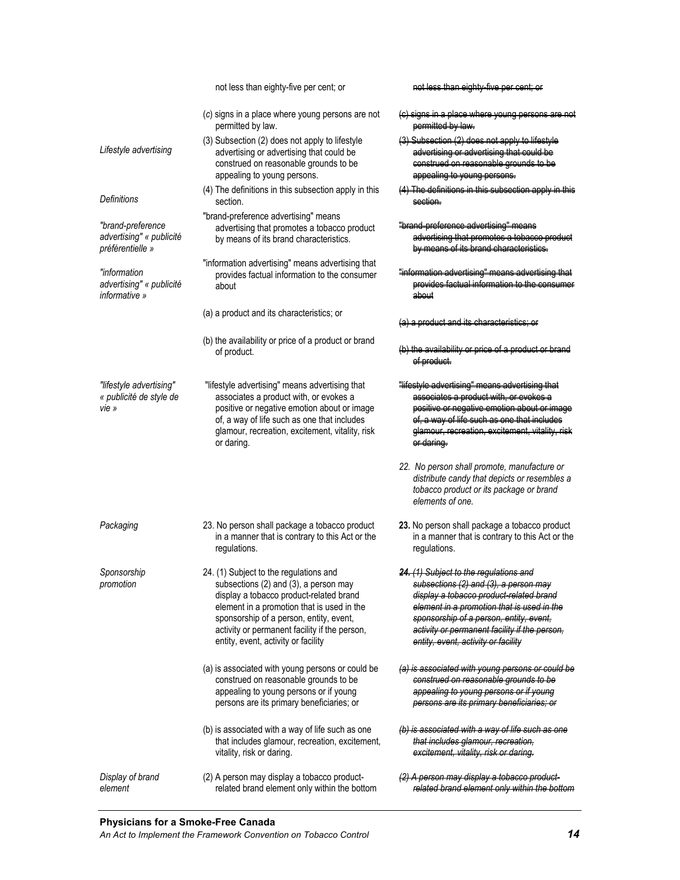|                                                                   | not less than eighty-five per cent; or                                                                                                                                                                                                                                                                      | <del>not less than eighty five</del>                                                                                                                                                                                                                                                                        |
|-------------------------------------------------------------------|-------------------------------------------------------------------------------------------------------------------------------------------------------------------------------------------------------------------------------------------------------------------------------------------------------------|-------------------------------------------------------------------------------------------------------------------------------------------------------------------------------------------------------------------------------------------------------------------------------------------------------------|
|                                                                   | (c) signs in a place where young persons are not<br>permitted by law.                                                                                                                                                                                                                                       | <del>cianc in a place where youn</del>                                                                                                                                                                                                                                                                      |
| Lifestyle advertising                                             | (3) Subsection (2) does not apply to lifestyle<br>advertising or advertising that could be<br>construed on reasonable grounds to be<br>appealing to young persons.                                                                                                                                          | (3) Subsection (2) does not apply<br>advorticing or advorticing that could be<br>construed on reasonable grounds to be<br>appoaling to young porcone.                                                                                                                                                       |
| <b>Definitions</b>                                                | (4) The definitions in this subsection apply in this<br>section.                                                                                                                                                                                                                                            | (4) The definitions in this subsection and<br><del>coction.</del>                                                                                                                                                                                                                                           |
| "brand-preference<br>advertising" « publicité<br>préférentielle » | "brand-preference advertising" means<br>advertising that promotes a tobacco product<br>by means of its brand characteristics.                                                                                                                                                                               | <del>"brand proforonco advorticino</del><br>advertising that promotes a tobacco product<br>by means of its brand charactoricties                                                                                                                                                                            |
| "information<br>advertising" « publicité<br>informative »         | "information advertising" means advertising that<br>provides factual information to the consumer<br>about                                                                                                                                                                                                   | <u>"information advortising"</u><br>provides factual information to<br>about                                                                                                                                                                                                                                |
|                                                                   | (a) a product and its characteristics; or                                                                                                                                                                                                                                                                   |                                                                                                                                                                                                                                                                                                             |
|                                                                   | (b) the availability or price of a product or brand<br>of product.                                                                                                                                                                                                                                          |                                                                                                                                                                                                                                                                                                             |
| "lifestyle advertising"<br>« publicité de style de<br>vie »       | "lifestyle advertising" means advertising that<br>associates a product with, or evokes a<br>positive or negative emotion about or image<br>of, a way of life such as one that includes<br>glamour, recreation, excitement, vitality, risk<br>or daring.                                                     | "lifectyle advorticing" means advorticing that<br>associates a product with, or evokes a<br>positive or negative emetion about or image<br>of, a way of life such as one that includes<br>clamour, recreation, excitement.<br><del>or daring.</del>                                                         |
|                                                                   |                                                                                                                                                                                                                                                                                                             | 22. No person shall promote, manufacture or<br>distribute candy that depicts or resembles a<br>tobacco product or its package or brand<br>elements of one.                                                                                                                                                  |
| Packaging                                                         | 23. No person shall package a tobacco product<br>in a manner that is contrary to this Act or the<br>regulations.                                                                                                                                                                                            | 23. No person shall package a tobacco product<br>in a manner that is contrary to this Act or the<br>regulations.                                                                                                                                                                                            |
| Sponsorship<br>promotion                                          | 24. (1) Subject to the regulations and<br>subsections (2) and (3), a person may<br>display a tobacco product-related brand<br>element in a promotion that is used in the<br>sponsorship of a person, entity, event,<br>activity or permanent facility if the person,<br>entity, event, activity or facility | 24. (1) Subject to the regulations and<br>subsections (2) and (3), a person may<br>display a tobacco product-related brand<br>element in a promotion that is used in the<br>sponsorship of a person, entity, event,<br>activity or permanent facility if the person,<br>entity, event, activity or facility |
|                                                                   | (a) is associated with young persons or could be<br>construed on reasonable grounds to be<br>appealing to young persons or if young<br>persons are its primary beneficiaries; or                                                                                                                            | (a) is associated with young persons or could be<br>construed on reasonable grounds to be<br>appoaling to young persons or if young<br>persons are its primary beneficiaries; or                                                                                                                            |
|                                                                   | (b) is associated with a way of life such as one<br>that includes glamour, recreation, excitement,<br>vitality, risk or daring.                                                                                                                                                                             | (b) is associated with a way of life such as one<br>that includes glamour, recreation,<br>excitement, vitality, risk or daring.                                                                                                                                                                             |
| Display of brand<br>element                                       | (2) A person may display a tobacco product-<br>related brand element only within the bottom                                                                                                                                                                                                                 | (2) A person may display a tobacco product-<br>related brand element only within the bottom                                                                                                                                                                                                                 |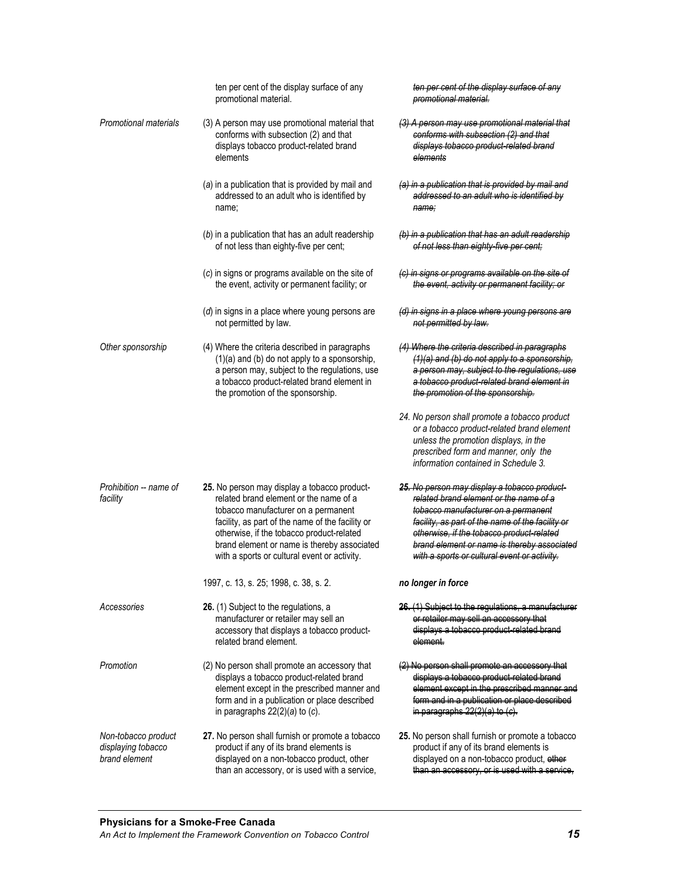|                                                            | ten per cent of the display surface of any<br>promotional material.                                                                                                                                                                                                                                                           | ten per cent of the display surface of any<br>promotional material.                                                                                                                                                                                                                                                           |
|------------------------------------------------------------|-------------------------------------------------------------------------------------------------------------------------------------------------------------------------------------------------------------------------------------------------------------------------------------------------------------------------------|-------------------------------------------------------------------------------------------------------------------------------------------------------------------------------------------------------------------------------------------------------------------------------------------------------------------------------|
| <b>Promotional materials</b>                               | (3) A person may use promotional material that<br>conforms with subsection (2) and that<br>displays tobacco product-related brand<br>elements                                                                                                                                                                                 | (3) A person may use promotional material that<br>conforms with subsection (2) and that<br>displays tobacco product rolated brand<br>elements                                                                                                                                                                                 |
|                                                            | (a) in a publication that is provided by mail and<br>addressed to an adult who is identified by<br>name;                                                                                                                                                                                                                      | (a) in a publication that is provided by mail and<br>addressed to an adult who is identified by<br>name;                                                                                                                                                                                                                      |
|                                                            | (b) in a publication that has an adult readership<br>of not less than eighty-five per cent;                                                                                                                                                                                                                                   | (b) in a publication that has an adult readership<br>of not less than eighty five per cent;                                                                                                                                                                                                                                   |
|                                                            | (c) in signs or programs available on the site of<br>the event, activity or permanent facility; or                                                                                                                                                                                                                            | (c) in signs or programs available on the site of<br>the event, activity or permanent facility; or                                                                                                                                                                                                                            |
|                                                            | $(d)$ in signs in a place where young persons are<br>not permitted by law.                                                                                                                                                                                                                                                    | (d) in signs in a place where young persons are<br>not permitted by law.                                                                                                                                                                                                                                                      |
| Other sponsorship                                          | (4) Where the criteria described in paragraphs<br>(1)(a) and (b) do not apply to a sponsorship,<br>a person may, subject to the regulations, use<br>a tobacco product-related brand element in<br>the promotion of the sponsorship.                                                                                           | (4) Where the criteria described in paragraphs<br>(1)(a) and (b) do not apply to a sponsorship,<br>a person may, subject to the regulations, use<br>a tobacco product rolated brand element in<br>the promotion of the sponsorship.                                                                                           |
|                                                            |                                                                                                                                                                                                                                                                                                                               | 24. No person shall promote a tobacco product<br>or a tobacco product-related brand element<br>unless the promotion displays, in the<br>prescribed form and manner, only the<br>information contained in Schedule 3.                                                                                                          |
| Prohibition -- name of<br>facility                         | 25. No person may display a tobacco product-<br>related brand element or the name of a<br>tobacco manufacturer on a permanent<br>facility, as part of the name of the facility or<br>otherwise, if the tobacco product-related<br>brand element or name is thereby associated<br>with a sports or cultural event or activity. | 25. No person may display a tobacco product-<br>related brand element or the name of a<br>tobacco manufacturor on a pormanent<br>facility, as part of the name of the facility or<br>otherwise, if the tobacco product related<br>brand element or name is thereby associated<br>with a sports or cultural event or activity. |
|                                                            | 1997, c. 13, s. 25; 1998, c. 38, s. 2.                                                                                                                                                                                                                                                                                        | no longer in force                                                                                                                                                                                                                                                                                                            |
| Accessories                                                | 26. (1) Subject to the regulations, a<br>manufacturer or retailer may sell an<br>accessory that displays a tobacco product-<br>related brand element.                                                                                                                                                                         | <u>ar ratailer mav</u><br>coll an accossory that<br><del>dicolave a tobacco product</del><br>element.                                                                                                                                                                                                                         |
| Promotion                                                  | (2) No person shall promote an accessory that<br>displays a tobacco product-related brand<br>element except in the prescribed manner and<br>form and in a publication or place described<br>in paragraphs $22(2)(a)$ to $(c)$ .                                                                                               | <del>dicplave a tobacco product</del><br><del>form and in a publication or place deceribed</del><br>in paragraphs 22(2)/                                                                                                                                                                                                      |
| Non-tobacco product<br>displaying tobacco<br>brand element | 27. No person shall furnish or promote a tobacco<br>product if any of its brand elements is<br>displayed on a non-tobacco product, other<br>than an accessory, or is used with a service,                                                                                                                                     | 25. No person shall furnish or promote a tobacco<br>product if any of its brand elements is<br>displayed on a non-tobacco product, other<br>than an accossory, or is used with a service,                                                                                                                                     |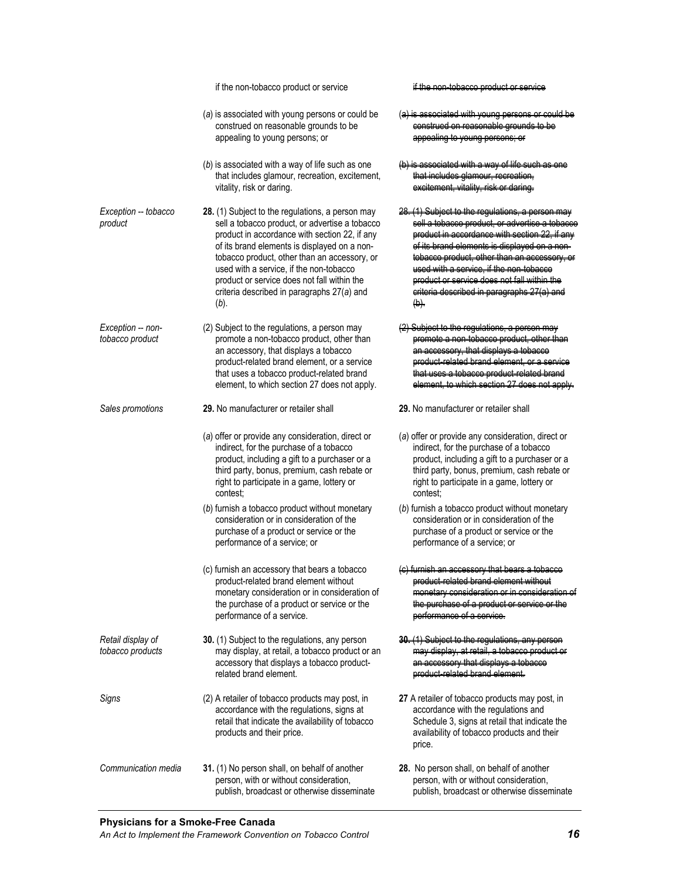|                                       | if the non-tobacco product or service                                                                                                                                                                                                                                                                                                                                                               |                                                                                                                                                                                                                                                                                                                |
|---------------------------------------|-----------------------------------------------------------------------------------------------------------------------------------------------------------------------------------------------------------------------------------------------------------------------------------------------------------------------------------------------------------------------------------------------------|----------------------------------------------------------------------------------------------------------------------------------------------------------------------------------------------------------------------------------------------------------------------------------------------------------------|
|                                       | (a) is associated with young persons or could be<br>construed on reasonable grounds to be<br>appealing to young persons; or                                                                                                                                                                                                                                                                         |                                                                                                                                                                                                                                                                                                                |
|                                       | (b) is associated with a way of life such as one<br>that includes glamour, recreation, excitement,<br>vitality, risk or daring.                                                                                                                                                                                                                                                                     | that includes alamour recre<br>excitement. vitality, rick er daring.                                                                                                                                                                                                                                           |
| Exception -- tobacco<br>product       | 28. (1) Subject to the regulations, a person may<br>sell a tobacco product, or advertise a tobacco<br>product in accordance with section 22, if any<br>of its brand elements is displayed on a non-<br>tobacco product, other than an accessory, or<br>used with a service, if the non-tobacco<br>product or service does not fall within the<br>criteria described in paragraphs 27(a) and<br>(b). | (1) Subject to the requlations, a perc<br><del>coll a tobacco product. or advorti</del> c<br><del>product in accordance with coctio</del><br>of its brand olomonts is displa<br>tobacco product, other than an ac<br><u>HGOd with a GODJIG</u><br><del>product or service</del><br>$\left(\mathbf{b}\right)$ . |
| Exception -- non-<br>tobacco product  | (2) Subject to the regulations, a person may<br>promote a non-tobacco product, other than<br>an accessory, that displays a tobacco<br>product-related brand element, or a service<br>that uses a tobacco product-related brand<br>element, to which section 27 does not apply.                                                                                                                      |                                                                                                                                                                                                                                                                                                                |
| Sales promotions                      | 29. No manufacturer or retailer shall                                                                                                                                                                                                                                                                                                                                                               | 29. No manufacturer or retailer shall                                                                                                                                                                                                                                                                          |
|                                       | (a) offer or provide any consideration, direct or<br>indirect, for the purchase of a tobacco<br>product, including a gift to a purchaser or a<br>third party, bonus, premium, cash rebate or<br>right to participate in a game, lottery or<br>contest:                                                                                                                                              | (a) offer or provide any consideration, direct or<br>indirect, for the purchase of a tobacco<br>product, including a gift to a purchaser or a<br>third party, bonus, premium, cash rebate or<br>right to participate in a game, lottery or<br>contest:                                                         |
|                                       | (b) furnish a tobacco product without monetary<br>consideration or in consideration of the<br>purchase of a product or service or the<br>performance of a service; or                                                                                                                                                                                                                               | (b) furnish a tobacco product without monetary<br>consideration or in consideration of the<br>purchase of a product or service or the<br>performance of a service; or                                                                                                                                          |
|                                       | (c) furnish an accessory that bears a tobacco<br>product-related brand element without<br>monetary consideration or in consideration of<br>the purchase of a product or service or the<br>performance of a service.                                                                                                                                                                                 | <del>product rolatod brand-</del><br>monetary consideration or in consideration of<br><u>the nurebase of a product or service or the </u><br>porformance of a corvice.                                                                                                                                         |
| Retail display of<br>tobacco products | <b>30.</b> (1) Subject to the regulations, any person<br>may display, at retail, a tobacco product or an<br>accessory that displays a tobacco product-<br>related brand element.                                                                                                                                                                                                                    | at ratail.<br><del>mav displav</del><br>an accorsory that displays a tebecco<br>product-related brand element                                                                                                                                                                                                  |
| Signs                                 | (2) A retailer of tobacco products may post, in<br>accordance with the regulations, signs at<br>retail that indicate the availability of tobacco<br>products and their price.                                                                                                                                                                                                                       | 27 A retailer of tobacco products may post, in<br>accordance with the regulations and<br>Schedule 3, signs at retail that indicate the<br>availability of tobacco products and their<br>price.                                                                                                                 |
| Communication media                   | 31. (1) No person shall, on behalf of another<br>person, with or without consideration,<br>publish, broadcast or otherwise disseminate                                                                                                                                                                                                                                                              | 28. No person shall, on behalf of another<br>person, with or without consideration,<br>publish, broadcast or otherwise disseminate                                                                                                                                                                             |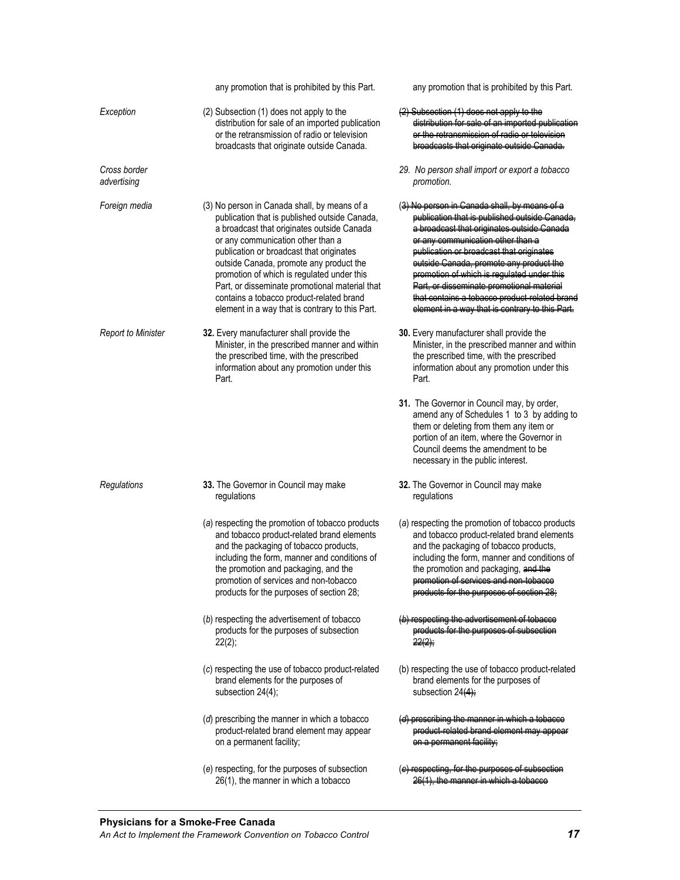|                             | any promotion that is prohibited by this Part.                                                                                                                                                                                                                                                                                                                                                                                                                         | any promotion that is prohibited by this Part.                                                                                                                                                                                                                                                                                                                                                                                                                    |
|-----------------------------|------------------------------------------------------------------------------------------------------------------------------------------------------------------------------------------------------------------------------------------------------------------------------------------------------------------------------------------------------------------------------------------------------------------------------------------------------------------------|-------------------------------------------------------------------------------------------------------------------------------------------------------------------------------------------------------------------------------------------------------------------------------------------------------------------------------------------------------------------------------------------------------------------------------------------------------------------|
| Exception                   | (2) Subsection (1) does not apply to the<br>distribution for sale of an imported publication<br>or the retransmission of radio or television<br>broadcasts that originate outside Canada.                                                                                                                                                                                                                                                                              | Subsection (1) does not app<br>distribution for sale of an imported publication<br>or the retransmission of radio or tolevision<br>broadcasts that originate outside C                                                                                                                                                                                                                                                                                            |
| Cross border<br>advertising |                                                                                                                                                                                                                                                                                                                                                                                                                                                                        | 29. No person shall import or export a tobacco<br>promotion.                                                                                                                                                                                                                                                                                                                                                                                                      |
| Foreign media               | (3) No person in Canada shall, by means of a<br>publication that is published outside Canada,<br>a broadcast that originates outside Canada<br>or any communication other than a<br>publication or broadcast that originates<br>outside Canada, promote any product the<br>promotion of which is regulated under this<br>Part, or disseminate promotional material that<br>contains a tobacco product-related brand<br>element in a way that is contrary to this Part. | ( <del>3) No person in Canada shall, by means of a</del><br>publication that is publiched outside C<br>a broadcast that originates outside Canada<br>or any communication other than a<br>publication or broadcast that originates<br>eutside Canada, premote any product the<br>promotion of which is regulated under this<br>Part, or discominate promotional material<br>that contains a tobacco product related brand<br>element in a way that is contrary to |
| <b>Report to Minister</b>   | 32. Every manufacturer shall provide the<br>Minister, in the prescribed manner and within<br>the prescribed time, with the prescribed<br>information about any promotion under this<br>Part.                                                                                                                                                                                                                                                                           | 30. Every manufacturer shall provide the<br>Minister, in the prescribed manner and within<br>the prescribed time, with the prescribed<br>information about any promotion under this<br>Part.                                                                                                                                                                                                                                                                      |
|                             |                                                                                                                                                                                                                                                                                                                                                                                                                                                                        | 31. The Governor in Council may, by order,<br>amend any of Schedules 1 to 3 by adding to<br>them or deleting from them any item or<br>portion of an item, where the Governor in<br>Council deems the amendment to be<br>necessary in the public interest.                                                                                                                                                                                                         |
| Regulations                 | 33. The Governor in Council may make<br>regulations                                                                                                                                                                                                                                                                                                                                                                                                                    | 32. The Governor in Council may make<br>regulations                                                                                                                                                                                                                                                                                                                                                                                                               |
|                             | (a) respecting the promotion of tobacco products<br>and tobacco product-related brand elements<br>and the packaging of tobacco products,<br>including the form, manner and conditions of<br>the promotion and packaging, and the<br>promotion of services and non-tobacco<br>products for the purposes of section 28;                                                                                                                                                  | (a) respecting the promotion of tobacco products<br>and tobacco product-related brand elements<br>and the packaging of tobacco products,<br>including the form, manner and conditions of<br>the promotion and packaging, and the<br>promotion of corvices and<br><del>products for the purpose</del>                                                                                                                                                              |
|                             | (b) respecting the advertisement of tobacco<br>products for the purposes of subsection<br>22(2);                                                                                                                                                                                                                                                                                                                                                                       | (b) respecting the advertisement of tobacco<br>products for the purposes of subsection<br>$22(2)$ ;                                                                                                                                                                                                                                                                                                                                                               |
|                             | (c) respecting the use of tobacco product-related<br>brand elements for the purposes of<br>subsection $24(4)$ ;                                                                                                                                                                                                                                                                                                                                                        | (b) respecting the use of tobacco product-related<br>brand elements for the purposes of<br>subsection 24(4);                                                                                                                                                                                                                                                                                                                                                      |
|                             | (d) prescribing the manner in which a tobacco<br>product-related brand element may appear<br>on a permanent facility;                                                                                                                                                                                                                                                                                                                                                  | (d) proceribing the manner in<br>product rolated brand olemont may appear<br>on a permanent facility:                                                                                                                                                                                                                                                                                                                                                             |
|                             | (e) respecting, for the purposes of subsection<br>26(1), the manner in which a tobacco                                                                                                                                                                                                                                                                                                                                                                                 | (e) respecting, for the purpeses a<br><u>26(1), the manner in which a</u>                                                                                                                                                                                                                                                                                                                                                                                         |